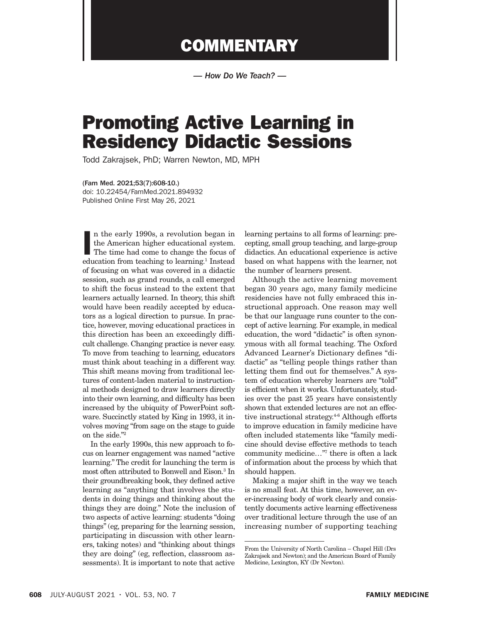## **COMMENTARY**

*— How Do We Teach? —*

## Promoting Active Learning in Residency Didactic Sessions

Todd Zakrajsek, PhD; Warren Newton, MD, MPH

(Fam Med. 2021;53(7):608-10.) doi: 10.22454/FamMed.2021.894932 Published Online First May 26, 2021

In the early 1990s, a revolution began in<br>the American higher educational system.<br>The time had come to change the focus of<br>education from teaching to learning.<sup>1</sup> Instead n the early 1990s, a revolution began in the American higher educational system. The time had come to change the focus of of focusing on what was covered in a didactic session, such as grand rounds, a call emerged to shift the focus instead to the extent that learners actually learned. In theory, this shift would have been readily accepted by educators as a logical direction to pursue. In practice, however, moving educational practices in this direction has been an exceedingly difficult challenge. Changing practice is never easy. To move from teaching to learning, educators must think about teaching in a different way. This shift means moving from traditional lectures of content-laden material to instructional methods designed to draw learners directly into their own learning, and difficulty has been increased by the ubiquity of PowerPoint software. Succinctly stated by King in 1993, it involves moving "from sage on the stage to guide on the side."2

In the early 1990s, this new approach to focus on learner engagement was named "active learning." The credit for launching the term is most often attributed to Bonwell and Eison.3 In their groundbreaking book, they defined active learning as "anything that involves the students in doing things and thinking about the things they are doing." Note the inclusion of two aspects of active learning: students "doing things" (eg, preparing for the learning session, participating in discussion with other learners, taking notes) and "thinking about things they are doing" (eg, reflection, classroom assessments). It is important to note that active

learning pertains to all forms of learning: precepting, small group teaching, and large-group didactics. An educational experience is active based on what happens with the learner, not the number of learners present.

Although the active learning movement began 30 years ago, many family medicine residencies have not fully embraced this instructional approach. One reason may well be that our language runs counter to the concept of active learning. For example, in medical education, the word "didactic" is often synonymous with all formal teaching. The Oxford Advanced Learner's Dictionary defines "didactic" as "telling people things rather than letting them find out for themselves." A system of education whereby learners are "told" is efficient when it works. Unfortunately, studies over the past 25 years have consistently shown that extended lectures are not an effective instructional strategy.<sup>4-6</sup> Although efforts to improve education in family medicine have often included statements like "family medicine should devise effective methods to teach community medicine…"7 there is often a lack of information about the process by which that should happen.

Making a major shift in the way we teach is no small feat. At this time, however, an ever-increasing body of work clearly and consistently documents active learning effectiveness over traditional lecture through the use of an increasing number of supporting teaching

From the University of North Carolina – Chapel Hill (Drs Zakrajsek and Newton); and the American Board of Family Medicine, Lexington, KY (Dr Newton).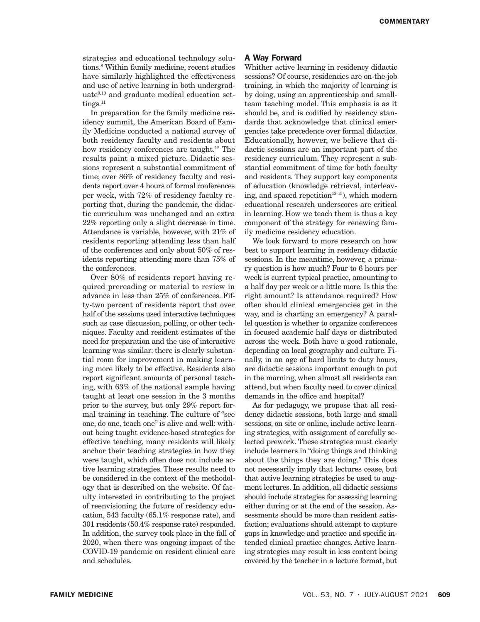strategies and educational technology solutions.8 Within family medicine, recent studies have similarly highlighted the effectiveness and use of active learning in both undergraduate $9,10$  and graduate medical education settings.<sup>11</sup>

In preparation for the family medicine residency summit, the American Board of Family Medicine conducted a national survey of both residency faculty and residents about how residency conferences are taught.<sup>12</sup> The results paint a mixed picture. Didactic sessions represent a substantial commitment of time; over 86% of residency faculty and residents report over 4 hours of formal conferences per week, with 72% of residency faculty reporting that, during the pandemic, the didactic curriculum was unchanged and an extra 22% reporting only a slight decrease in time. Attendance is variable, however, with 21% of residents reporting attending less than half of the conferences and only about 50% of residents reporting attending more than 75% of the conferences.

Over 80% of residents report having required prereading or material to review in advance in less than 25% of conferences. Fifty-two percent of residents report that over half of the sessions used interactive techniques such as case discussion, polling, or other techniques. Faculty and resident estimates of the need for preparation and the use of interactive learning was similar: there is clearly substantial room for improvement in making learning more likely to be effective. Residents also report significant amounts of personal teaching, with 63% of the national sample having taught at least one session in the 3 months prior to the survey, but only 29% report formal training in teaching. The culture of "see one, do one, teach one" is alive and well: without being taught evidence-based strategies for effective teaching, many residents will likely anchor their teaching strategies in how they were taught, which often does not include active learning strategies. These results need to be considered in the context of the methodology that is described on the website. Of faculty interested in contributing to the project of reenvisioning the future of residency education, 543 faculty (65.1% response rate), and 301 residents (50.4% response rate) responded. In addition, the survey took place in the fall of 2020, when there was ongoing impact of the COVID-19 pandemic on resident clinical care and schedules.

## A Way Forward

Whither active learning in residency didactic sessions? Of course, residencies are on-the-job training, in which the majority of learning is by doing, using an apprenticeship and smallteam teaching model. This emphasis is as it should be, and is codified by residency standards that acknowledge that clinical emergencies take precedence over formal didactics. Educationally, however, we believe that didactic sessions are an important part of the residency curriculum. They represent a substantial commitment of time for both faculty and residents. They support key components of education (knowledge retrieval, interleaving, and spaced repetition<sup>13-15</sup>), which modern educational research underscores are critical in learning. How we teach them is thus a key component of the strategy for renewing family medicine residency education.

We look forward to more research on how best to support learning in residency didactic sessions. In the meantime, however, a primary question is how much? Four to 6 hours per week is current typical practice, amounting to a half day per week or a little more. Is this the right amount? Is attendance required? How often should clinical emergencies get in the way, and is charting an emergency? A parallel question is whether to organize conferences in focused academic half days or distributed across the week. Both have a good rationale, depending on local geography and culture. Finally, in an age of hard limits to duty hours, are didactic sessions important enough to put in the morning, when almost all residents can attend, but when faculty need to cover clinical demands in the office and hospital?

As for pedagogy, we propose that all residency didactic sessions, both large and small sessions, on site or online, include active learning strategies, with assignment of carefully selected prework. These strategies must clearly include learners in "doing things and thinking about the things they are doing." This does not necessarily imply that lectures cease, but that active learning strategies be used to augment lectures. In addition, all didactic sessions should include strategies for assessing learning either during or at the end of the session. Assessments should be more than resident satisfaction; evaluations should attempt to capture gaps in knowledge and practice and specific intended clinical practice changes. Active learning strategies may result in less content being covered by the teacher in a lecture format, but